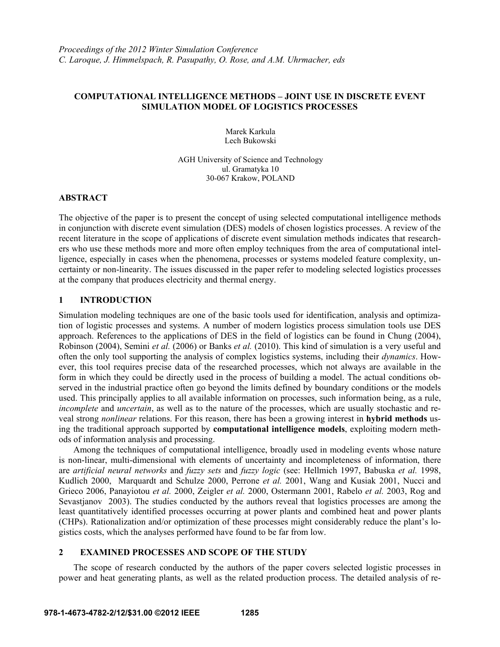## **COMPUTATIONAL INTELLIGENCE METHODS – JOINT USE IN DISCRETE EVENT SIMULATION MODEL OF LOGISTICS PROCESSES**

Marek Karkula Lech Bukowski

AGH University of Science and Technology ul. Gramatyka 10 30-067 Krakow, POLAND

## **ABSTRACT**

The objective of the paper is to present the concept of using selected computational intelligence methods in conjunction with discrete event simulation (DES) models of chosen logistics processes. A review of the recent literature in the scope of applications of discrete event simulation methods indicates that researchers who use these methods more and more often employ techniques from the area of computational intelligence, especially in cases when the phenomena, processes or systems modeled feature complexity, uncertainty or non-linearity. The issues discussed in the paper refer to modeling selected logistics processes at the company that produces electricity and thermal energy.

## **1 INTRODUCTION**

Simulation modeling techniques are one of the basic tools used for identification, analysis and optimization of logistic processes and systems. A number of modern logistics process simulation tools use DES approach. References to the applications of DES in the field of logistics can be found in Chung (2004), Robinson (2004), Semini *et al.* (2006) or Banks *et al.* (2010). This kind of simulation is a very useful and often the only tool supporting the analysis of complex logistics systems, including their *dynamics*. However, this tool requires precise data of the researched processes, which not always are available in the form in which they could be directly used in the process of building a model. The actual conditions observed in the industrial practice often go beyond the limits defined by boundary conditions or the models used. This principally applies to all available information on processes, such information being, as a rule, *incomplete* and *uncertain*, as well as to the nature of the processes, which are usually stochastic and reveal strong *nonlinear* relations. For this reason, there has been a growing interest in **hybrid methods** using the traditional approach supported by **computational intelligence models**, exploiting modern methods of information analysis and processing.

Among the techniques of computational intelligence, broadly used in modeling events whose nature is non-linear, multi-dimensional with elements of uncertainty and incompleteness of information, there are *artificial neural networks* and *fuzzy sets* and *fuzzy logic* (see: Hellmich 1997, Babuska *et al.* 1998, Kudlich 2000, Marquardt and Schulze 2000, Perrone *et al.* 2001, Wang and Kusiak 2001, Nucci and Grieco 2006, Panayiotou *et al.* 2000, Zeigler *et al.* 2000, Ostermann 2001, Rabelo *et al.* 2003, Rog and Sevastjanov 2003). The studies conducted by the authors reveal that logistics processes are among the least quantitatively identified processes occurring at power plants and combined heat and power plants (CHPs). Rationalization and/or optimization of these processes might considerably reduce the plant's logistics costs, which the analyses performed have found to be far from low.

# **2 EXAMINED PROCESSES AND SCOPE OF THE STUDY**

The scope of research conducted by the authors of the paper covers selected logistic processes in power and heat generating plants, as well as the related production process. The detailed analysis of re-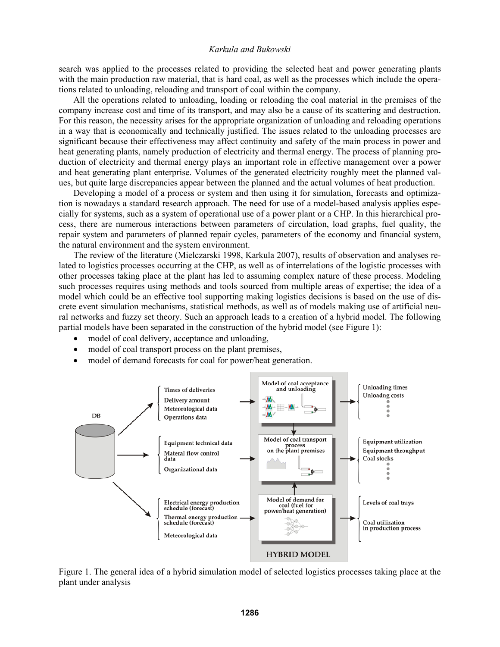search was applied to the processes related to providing the selected heat and power generating plants with the main production raw material, that is hard coal, as well as the processes which include the operations related to unloading, reloading and transport of coal within the company.

All the operations related to unloading, loading or reloading the coal material in the premises of the company increase cost and time of its transport, and may also be a cause of its scattering and destruction. For this reason, the necessity arises for the appropriate organization of unloading and reloading operations in a way that is economically and technically justified. The issues related to the unloading processes are significant because their effectiveness may affect continuity and safety of the main process in power and heat generating plants, namely production of electricity and thermal energy. The process of planning production of electricity and thermal energy plays an important role in effective management over a power and heat generating plant enterprise. Volumes of the generated electricity roughly meet the planned values, but quite large discrepancies appear between the planned and the actual volumes of heat production.

Developing a model of a process or system and then using it for simulation, forecasts and optimization is nowadays a standard research approach. The need for use of a model-based analysis applies especially for systems, such as a system of operational use of a power plant or a CHP. In this hierarchical process, there are numerous interactions between parameters of circulation, load graphs, fuel quality, the repair system and parameters of planned repair cycles, parameters of the economy and financial system, the natural environment and the system environment.

The review of the literature (Mielczarski 1998, Karkula 2007), results of observation and analyses related to logistics processes occurring at the CHP, as well as of interrelations of the logistic processes with other processes taking place at the plant has led to assuming complex nature of these process. Modeling such processes requires using methods and tools sourced from multiple areas of expertise; the idea of a model which could be an effective tool supporting making logistics decisions is based on the use of discrete event simulation mechanisms, statistical methods, as well as of models making use of artificial neural networks and fuzzy set theory. Such an approach leads to a creation of a hybrid model. The following partial models have been separated in the construction of the hybrid model (see Figure 1):

- model of coal delivery, acceptance and unloading,
- model of coal transport process on the plant premises,
- model of demand forecasts for coal for power/heat generation.



Figure 1. The general idea of a hybrid simulation model of selected logistics processes taking place at the plant under analysis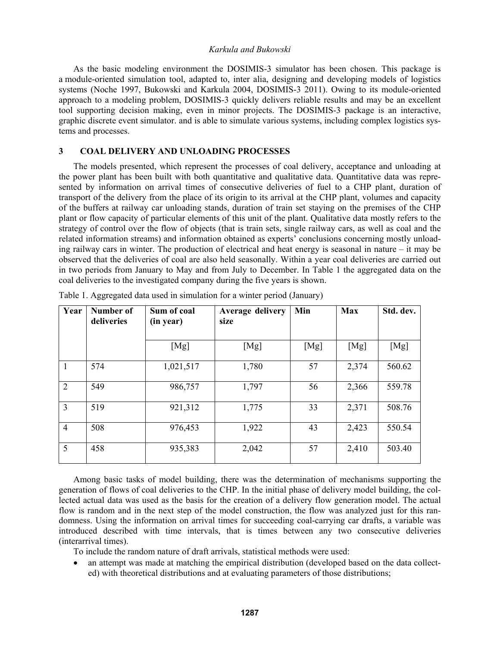As the basic modeling environment the DOSIMIS-3 simulator has been chosen. This package is a module-oriented simulation tool, adapted to, inter alia, designing and developing models of logistics systems (Noche 1997, Bukowski and Karkula 2004, DOSIMIS-3 2011). Owing to its module-oriented approach to a modeling problem, DOSIMIS-3 quickly delivers reliable results and may be an excellent tool supporting decision making, even in minor projects. The DOSIMIS-3 package is an interactive, graphic discrete event simulator. and is able to simulate various systems, including complex logistics systems and processes.

## **3 COAL DELIVERY AND UNLOADING PROCESSES**

The models presented, which represent the processes of coal delivery, acceptance and unloading at the power plant has been built with both quantitative and qualitative data. Quantitative data was represented by information on arrival times of consecutive deliveries of fuel to a CHP plant, duration of transport of the delivery from the place of its origin to its arrival at the CHP plant, volumes and capacity of the buffers at railway car unloading stands, duration of train set staying on the premises of the CHP plant or flow capacity of particular elements of this unit of the plant. Qualitative data mostly refers to the strategy of control over the flow of objects (that is train sets, single railway cars, as well as coal and the related information streams) and information obtained as experts' conclusions concerning mostly unloading railway cars in winter. The production of electrical and heat energy is seasonal in nature – it may be observed that the deliveries of coal are also held seasonally. Within a year coal deliveries are carried out in two periods from January to May and from July to December. In Table 1 the aggregated data on the coal deliveries to the investigated company during the five years is shown.

| Year           | Number of<br>deliveries | Sum of coal<br>(in year) | Average delivery<br>size | Min  | <b>Max</b> | Std. dev. |
|----------------|-------------------------|--------------------------|--------------------------|------|------------|-----------|
|                |                         | [Mg]                     | [Mg]                     | [Mg] | [Mg]       | [Mg]      |
| 1              | 574                     | 1,021,517                | 1,780                    | 57   | 2,374      | 560.62    |
| $\overline{2}$ | 549                     | 986,757                  | 1,797                    | 56   | 2,366      | 559.78    |
| 3              | 519                     | 921,312                  | 1,775                    | 33   | 2,371      | 508.76    |
| $\overline{4}$ | 508                     | 976,453                  | 1,922                    | 43   | 2,423      | 550.54    |
| 5              | 458                     | 935,383                  | 2,042                    | 57   | 2,410      | 503.40    |

Table 1. Aggregated data used in simulation for a winter period (January)

Among basic tasks of model building, there was the determination of mechanisms supporting the generation of flows of coal deliveries to the CHP. In the initial phase of delivery model building, the collected actual data was used as the basis for the creation of a delivery flow generation model. The actual flow is random and in the next step of the model construction, the flow was analyzed just for this randomness. Using the information on arrival times for succeeding coal-carrying car drafts, a variable was introduced described with time intervals, that is times between any two consecutive deliveries (interarrival times).

To include the random nature of draft arrivals, statistical methods were used:

• an attempt was made at matching the empirical distribution (developed based on the data collected) with theoretical distributions and at evaluating parameters of those distributions;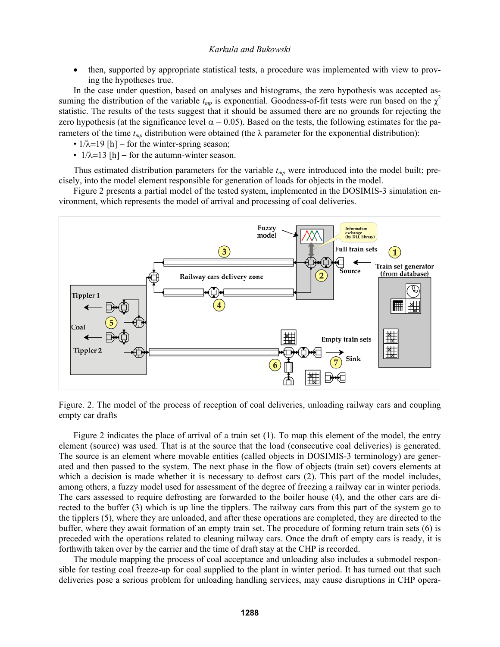• then, supported by appropriate statistical tests, a procedure was implemented with view to proving the hypotheses true.

In the case under question, based on analyses and histograms, the zero hypothesis was accepted assuming the distribution of the variable  $t_{mp}$  is exponential. Goodness-of-fit tests were run based on the  $\chi^2$ statistic. The results of the tests suggest that it should be assumed there are no grounds for rejecting the zero hypothesis (at the significance level  $\alpha = 0.05$ ). Based on the tests, the following estimates for the parameters of the time  $t_{mp}$  distribution were obtained (the  $\lambda$  parameter for the exponential distribution):

- $1/\lambda=19$  [h] for the winter-spring season;
- $1/\lambda=13$  [h] for the autumn-winter season.

Thus estimated distribution parameters for the variable  $t_{mp}$  were introduced into the model built; precisely, into the model element responsible for generation of loads for objects in the model.

Figure 2 presents a partial model of the tested system, implemented in the DOSIMIS-3 simulation environment, which represents the model of arrival and processing of coal deliveries.



Figure. 2. The model of the process of reception of coal deliveries, unloading railway cars and coupling empty car drafts

Figure 2 indicates the place of arrival of a train set (1). To map this element of the model, the entry element (source) was used. That is at the source that the load (consecutive coal deliveries) is generated. The source is an element where movable entities (called objects in DOSIMIS-3 terminology) are generated and then passed to the system. The next phase in the flow of objects (train set) covers elements at which a decision is made whether it is necessary to defrost cars (2). This part of the model includes, among others, a fuzzy model used for assessment of the degree of freezing a railway car in winter periods. The cars assessed to require defrosting are forwarded to the boiler house (4), and the other cars are directed to the buffer (3) which is up line the tipplers. The railway cars from this part of the system go to the tipplers (5), where they are unloaded, and after these operations are completed, they are directed to the buffer, where they await formation of an empty train set. The procedure of forming return train sets (6) is preceded with the operations related to cleaning railway cars. Once the draft of empty cars is ready, it is forthwith taken over by the carrier and the time of draft stay at the CHP is recorded.

The module mapping the process of coal acceptance and unloading also includes a submodel responsible for testing coal freeze-up for coal supplied to the plant in winter period. It has turned out that such deliveries pose a serious problem for unloading handling services, may cause disruptions in CHP opera-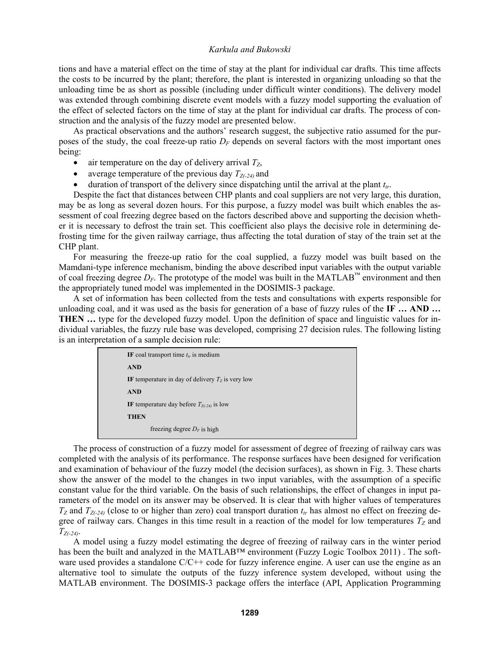tions and have a material effect on the time of stay at the plant for individual car drafts. This time affects the costs to be incurred by the plant; therefore, the plant is interested in organizing unloading so that the unloading time be as short as possible (including under difficult winter conditions). The delivery model was extended through combining discrete event models with a fuzzy model supporting the evaluation of the effect of selected factors on the time of stay at the plant for individual car drafts. The process of construction and the analysis of the fuzzy model are presented below.

As practical observations and the authors' research suggest, the subjective ratio assumed for the purposes of the study, the coal freeze-up ratio  $D_F$  depends on several factors with the most important ones being:

- air temperature on the day of delivery arrival  $T_z$ ,
- average temperature of the previous day  $T_{Z(24)}$  and
- duration of transport of the delivery since dispatching until the arrival at the plant  $t_{tr}$ .

Despite the fact that distances between CHP plants and coal suppliers are not very large, this duration, may be as long as several dozen hours. For this purpose, a fuzzy model was built which enables the assessment of coal freezing degree based on the factors described above and supporting the decision whether it is necessary to defrost the train set. This coefficient also plays the decisive role in determining defrosting time for the given railway carriage, thus affecting the total duration of stay of the train set at the CHP plant.

For measuring the freeze-up ratio for the coal supplied, a fuzzy model was built based on the Mamdani-type inference mechanism, binding the above described input variables with the output variable of coal freezing degree  $D_F$ . The prototype of the model was built in the MATLAB<sup>™</sup> environment and then the appropriately tuned model was implemented in the DOSIMIS-3 package.

A set of information has been collected from the tests and consultations with experts responsible for unloading coal, and it was used as the basis for generation of a base of fuzzy rules of the **IF … AND … THEN** ... type for the developed fuzzy model. Upon the definition of space and linguistic values for individual variables, the fuzzy rule base was developed, comprising 27 decision rules. The following listing is an interpretation of a sample decision rule:

| IF coal transport time $t_{tr}$ is medium           |
|-----------------------------------------------------|
| <b>AND</b>                                          |
| IF temperature in day of delivery $T_z$ is very low |
| <b>AND</b>                                          |
| IF temperature day before $T_{Z(-24)}$ is low       |
| <b>THEN</b>                                         |
| freezing degree $D_F$ is high                       |

The process of construction of a fuzzy model for assessment of degree of freezing of railway cars was completed with the analysis of its performance. The response surfaces have been designed for verification and examination of behaviour of the fuzzy model (the decision surfaces), as shown in Fig. 3. These charts show the answer of the model to the changes in two input variables, with the assumption of a specific constant value for the third variable. On the basis of such relationships, the effect of changes in input parameters of the model on its answer may be observed. It is clear that with higher values of temperatures  $T_Z$  and  $T_{Z(24)}$  (close to or higher than zero) coal transport duration  $t_w$  has almost no effect on freezing degree of railway cars. Changes in this time result in a reaction of the model for low temperatures  $T_z$  and  $T_{Z(-24)}$ .

A model using a fuzzy model estimating the degree of freezing of railway cars in the winter period has been the built and analyzed in the MATLAB™ environment (Fuzzy Logic Toolbox 2011). The software used provides a standalone  $C/C++$  code for fuzzy inference engine. A user can use the engine as an alternative tool to simulate the outputs of the fuzzy inference system developed, without using the MATLAB environment. The DOSIMIS-3 package offers the interface (API, Application Programming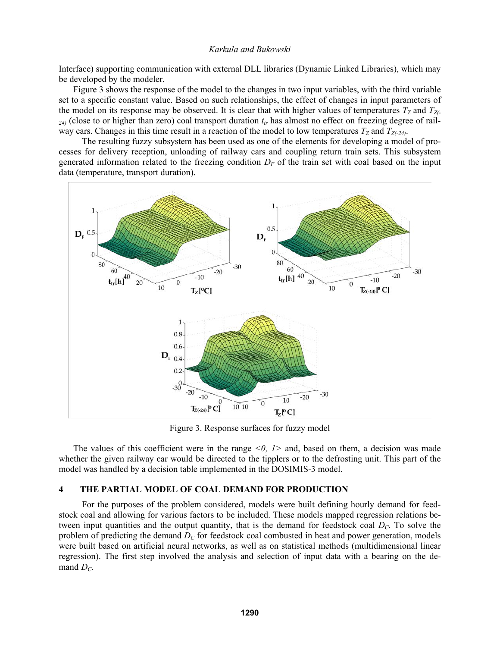Interface) supporting communication with external DLL libraries (Dynamic Linked Libraries), which may be developed by the modeler.

Figure 3 shows the response of the model to the changes in two input variables, with the third variable set to a specific constant value. Based on such relationships, the effect of changes in input parameters of the model on its response may be observed. It is clear that with higher values of temperatures  $T_Z$  and  $T_{Z_C}$  $_{24}$ ) (close to or higher than zero) coal transport duration  $t<sub>tr</sub>$  has almost no effect on freezing degree of railway cars. Changes in this time result in a reaction of the model to low temperatures  $T_Z$  and  $T_{Z(24)}$ .

The resulting fuzzy subsystem has been used as one of the elements for developing a model of processes for delivery reception, unloading of railway cars and coupling return train sets. This subsystem generated information related to the freezing condition  $D<sub>F</sub>$  of the train set with coal based on the input data (temperature, transport duration).



Figure 3. Response surfaces for fuzzy model

The values of this coefficient were in the range *<0, 1>* and, based on them, a decision was made whether the given railway car would be directed to the tipplers or to the defrosting unit. This part of the model was handled by a decision table implemented in the DOSIMIS-3 model.

### **4 THE PARTIAL MODEL OF COAL DEMAND FOR PRODUCTION**

For the purposes of the problem considered, models were built defining hourly demand for feedstock coal and allowing for various factors to be included. These models mapped regression relations between input quantities and the output quantity, that is the demand for feedstock coal  $D<sub>C</sub>$ . To solve the problem of predicting the demand *D<sub>C</sub>* for feedstock coal combusted in heat and power generation, models were built based on artificial neural networks, as well as on statistical methods (multidimensional linear regression). The first step involved the analysis and selection of input data with a bearing on the demand  $D_C$ .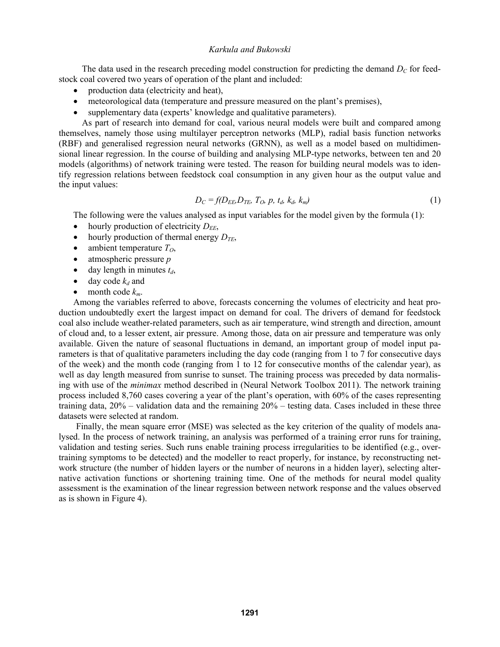The data used in the research preceding model construction for predicting the demand  $D<sub>C</sub>$  for feedstock coal covered two years of operation of the plant and included:

- production data (electricity and heat),
- meteorological data (temperature and pressure measured on the plant's premises),
- supplementary data (experts' knowledge and qualitative parameters).

As part of research into demand for coal, various neural models were built and compared among themselves, namely those using multilayer perceptron networks (MLP), radial basis function networks (RBF) and generalised regression neural networks (GRNN), as well as a model based on multidimensional linear regression. In the course of building and analysing MLP-type networks, between ten and 20 models (algorithms) of network training were tested. The reason for building neural models was to identify regression relations between feedstock coal consumption in any given hour as the output value and the input values:

$$
D_C = f(D_{EE}, D_{TE}, T_O, p, t_d, k_d, k_m)
$$
\n
$$
(1)
$$

The following were the values analysed as input variables for the model given by the formula (1):

- hourly production of electricity  $D_{EE}$ ,
- hourly production of thermal energy  $D_{TE}$ ,
- $\bullet$  ambient temperature  $T_{O_2}$
- atmospheric pressure *p*
- day length in minutes  $t_d$ ,
- day code  $k_d$  and
- month code  $k_m$ .

Among the variables referred to above, forecasts concerning the volumes of electricity and heat production undoubtedly exert the largest impact on demand for coal. The drivers of demand for feedstock coal also include weather-related parameters, such as air temperature, wind strength and direction, amount of cloud and, to a lesser extent, air pressure. Among those, data on air pressure and temperature was only available. Given the nature of seasonal fluctuations in demand, an important group of model input parameters is that of qualitative parameters including the day code (ranging from 1 to 7 for consecutive days of the week) and the month code (ranging from 1 to 12 for consecutive months of the calendar year), as well as day length measured from sunrise to sunset. The training process was preceded by data normalising with use of the *minimax* method described in (Neural Network Toolbox 2011). The network training process included 8,760 cases covering a year of the plant's operation, with 60% of the cases representing training data,  $20\%$  – validation data and the remaining  $20\%$  – testing data. Cases included in these three datasets were selected at random.

Finally, the mean square error (MSE) was selected as the key criterion of the quality of models analysed. In the process of network training, an analysis was performed of a training error runs for training, validation and testing series. Such runs enable training process irregularities to be identified (e.g., overtraining symptoms to be detected) and the modeller to react properly, for instance, by reconstructing network structure (the number of hidden layers or the number of neurons in a hidden layer), selecting alternative activation functions or shortening training time. One of the methods for neural model quality assessment is the examination of the linear regression between network response and the values observed as is shown in Figure 4).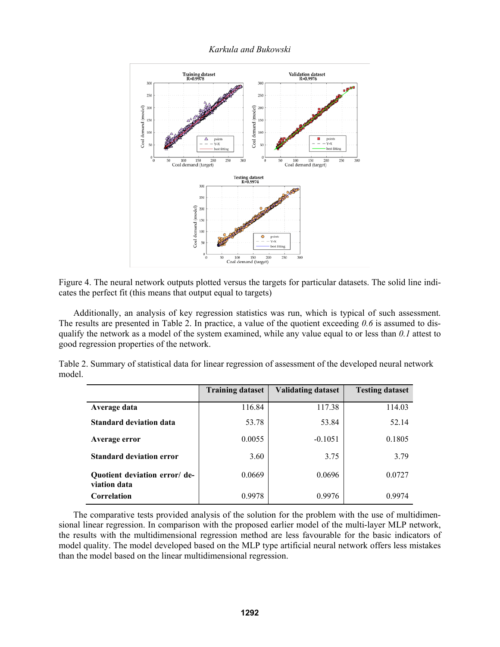

*Karkula and Bukowski*

Figure 4. The neural network outputs plotted versus the targets for particular datasets. The solid line indicates the perfect fit (this means that output equal to targets)

Additionally, an analysis of key regression statistics was run, which is typical of such assessment. The results are presented in Table 2. In practice, a value of the quotient exceeding *0.6* is assumed to disqualify the network as a model of the system examined, while any value equal to or less than *0.1* attest to good regression properties of the network.

| Table 2. Summary of statistical data for linear regression of assessment of the developed neural network |  |  |  |  |
|----------------------------------------------------------------------------------------------------------|--|--|--|--|
| model.                                                                                                   |  |  |  |  |

|                                              | <b>Training dataset</b> | <b>Validating dataset</b> | <b>Testing dataset</b> |
|----------------------------------------------|-------------------------|---------------------------|------------------------|
| Average data                                 | 116.84                  | 117.38                    | 114.03                 |
| <b>Standard deviation data</b>               | 53.78                   | 53.84                     | 52.14                  |
| Average error                                | 0.0055                  | $-0.1051$                 | 0.1805                 |
| <b>Standard deviation error</b>              | 3.60                    | 3.75                      | 3.79                   |
| Quotient deviation error/de-<br>viation data | 0.0669                  | 0.0696                    | 0.0727                 |
| Correlation                                  | 0.9978                  | 0.9976                    | 0.9974                 |

The comparative tests provided analysis of the solution for the problem with the use of multidimensional linear regression. In comparison with the proposed earlier model of the multi-layer MLP network, the results with the multidimensional regression method are less favourable for the basic indicators of model quality. The model developed based on the MLP type artificial neural network offers less mistakes than the model based on the linear multidimensional regression.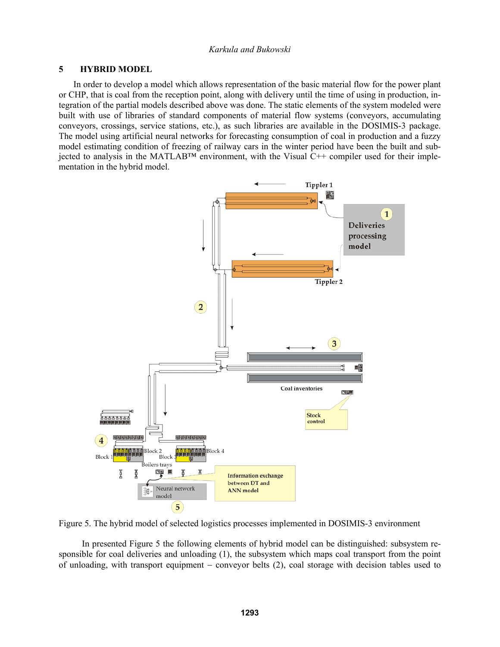## **5 HYBRID MODEL**

In order to develop a model which allows representation of the basic material flow for the power plant or CHP, that is coal from the reception point, along with delivery until the time of using in production, integration of the partial models described above was done. The static elements of the system modeled were built with use of libraries of standard components of material flow systems (conveyors, accumulating conveyors, crossings, service stations, etc.), as such libraries are available in the DOSIMIS-3 package. The model using artificial neural networks for forecasting consumption of coal in production and a fuzzy model estimating condition of freezing of railway cars in the winter period have been the built and subjected to analysis in the MATLAB™ environment, with the Visual C++ compiler used for their implementation in the hybrid model.



Figure 5. The hybrid model of selected logistics processes implemented in DOSIMIS-3 environment

In presented Figure 5 the following elements of hybrid model can be distinguished: subsystem responsible for coal deliveries and unloading (1), the subsystem which maps coal transport from the point of unloading, with transport equipment − conveyor belts (2), coal storage with decision tables used to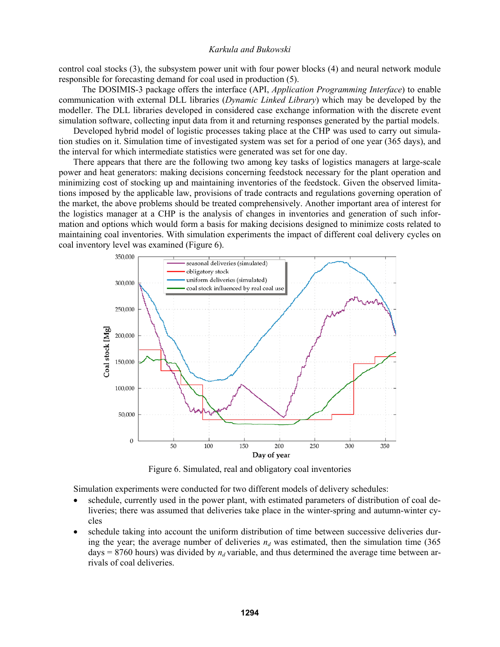control coal stocks (3), the subsystem power unit with four power blocks (4) and neural network module responsible for forecasting demand for coal used in production (5).

The DOSIMIS-3 package offers the interface (API, *Application Programming Interface*) to enable communication with external DLL libraries (*Dynamic Linked Library*) which may be developed by the modeller. The DLL libraries developed in considered case exchange information with the discrete event simulation software, collecting input data from it and returning responses generated by the partial models.

Developed hybrid model of logistic processes taking place at the CHP was used to carry out simulation studies on it. Simulation time of investigated system was set for a period of one year (365 days), and the interval for which intermediate statistics were generated was set for one day.

There appears that there are the following two among key tasks of logistics managers at large-scale power and heat generators: making decisions concerning feedstock necessary for the plant operation and minimizing cost of stocking up and maintaining inventories of the feedstock. Given the observed limitations imposed by the applicable law, provisions of trade contracts and regulations governing operation of the market, the above problems should be treated comprehensively. Another important area of interest for the logistics manager at a CHP is the analysis of changes in inventories and generation of such information and options which would form a basis for making decisions designed to minimize costs related to maintaining coal inventories. With simulation experiments the impact of different coal delivery cycles on coal inventory level was examined (Figure 6).



Figure 6. Simulated, real and obligatory coal inventories

Simulation experiments were conducted for two different models of delivery schedules:

- schedule, currently used in the power plant, with estimated parameters of distribution of coal deliveries; there was assumed that deliveries take place in the winter-spring and autumn-winter cycles
- schedule taking into account the uniform distribution of time between successive deliveries during the year; the average number of deliveries  $n_d$  was estimated, then the simulation time (365) days = 8760 hours) was divided by  $n_d$  variable, and thus determined the average time between arrivals of coal deliveries.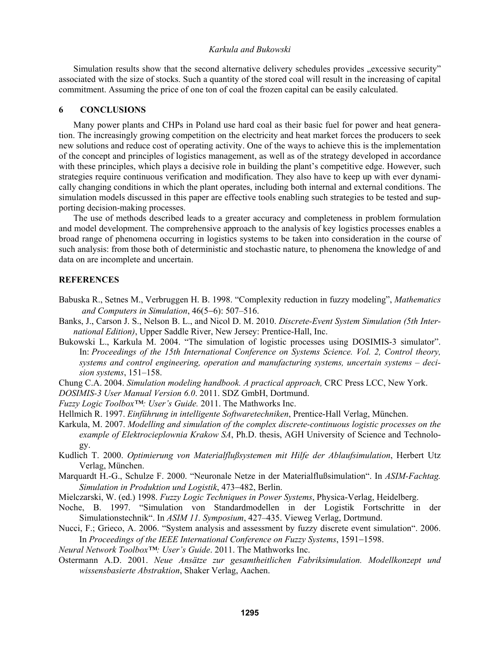Simulation results show that the second alternative delivery schedules provides "excessive security" associated with the size of stocks. Such a quantity of the stored coal will result in the increasing of capital commitment. Assuming the price of one ton of coal the frozen capital can be easily calculated.

#### **6 CONCLUSIONS**

Many power plants and CHPs in Poland use hard coal as their basic fuel for power and heat generation. The increasingly growing competition on the electricity and heat market forces the producers to seek new solutions and reduce cost of operating activity. One of the ways to achieve this is the implementation of the concept and principles of logistics management, as well as of the strategy developed in accordance with these principles, which plays a decisive role in building the plant's competitive edge. However, such strategies require continuous verification and modification. They also have to keep up with ever dynamically changing conditions in which the plant operates, including both internal and external conditions. The simulation models discussed in this paper are effective tools enabling such strategies to be tested and supporting decision-making processes.

The use of methods described leads to a greater accuracy and completeness in problem formulation and model development. The comprehensive approach to the analysis of key logistics processes enables a broad range of phenomena occurring in logistics systems to be taken into consideration in the course of such analysis: from those both of deterministic and stochastic nature, to phenomena the knowledge of and data on are incomplete and uncertain.

## **REFERENCES**

- Babuska R., Setnes M., Verbruggen H. B. 1998. "Complexity reduction in fuzzy modeling", *Mathematics and Computers in Simulation*, 46(5−6): 507–516.
- Banks, J., Carson J. S., Nelson B. L., and Nicol D. M. 2010. *Discrete-Event System Simulation (5th International Edition)*, Upper Saddle River, New Jersey: Prentice-Hall, Inc.
- Bukowski L., Karkula M. 2004. "The simulation of logistic processes using DOSIMIS-3 simulator". In: *Proceedings of the 15th International Conference on Systems Science. Vol. 2, Control theory, systems and control engineering, operation and manufacturing systems, uncertain systems – decision systems*, 151–158.
- Chung C.A. 2004. *Simulation modeling handbook. A practical approach,* CRC Press LCC, New York.
- *DOSIMIS-3 User Manual Version 6.0*. 2011. SDZ GmbH, Dortmund.
- *Fuzzy Logic Toolbox™: User's Guide.* 2011. The Mathworks Inc.
- Hellmich R. 1997. *Einführung in intelligente Softwaretechniken*, Prentice-Hall Verlag, München.
- Karkula, M. 2007. *Modelling and simulation of the complex discrete-continuous logistic processes on the example of Elektrocieplownia Krakow SA*, Ph.D. thesis, AGH University of Science and Technology.
- Kudlich T. 2000. *Optimierung von Materialflußsystemen mit Hilfe der Ablaufsimulation*, Herbert Utz Verlag, München.
- Marquardt H.-G., Schulze F. 2000. "Neuronale Netze in der Materialflußsimulation". In *ASIM-Fachtag. Simulation in Produktion und Logistik*, 473−482, Berlin.
- Mielczarski, W. (ed.) 1998. *Fuzzy Logic Techniques in Power Systems*, Physica-Verlag, Heidelberg.
- Noche, B. 1997. "Simulation von Standardmodellen in der Logistik Fortschritte in der Simulationstechnik". In *ASIM 11. Symposium*, 427–435. Vieweg Verlag, Dortmund.
- Nucci, F.; Grieco, A. 2006. "System analysis and assessment by fuzzy discrete event simulation". 2006. In *Proceedings of the IEEE International Conference on Fuzzy Systems*, 1591−1598.
- *Neural Network Toolbox™: User's Guide*. 2011. The Mathworks Inc.
- Ostermann A.D. 2001. *Neue Ansätze zur gesamtheitlichen Fabriksimulation. Modellkonzept und wissensbasierte Abstraktion*, Shaker Verlag, Aachen.